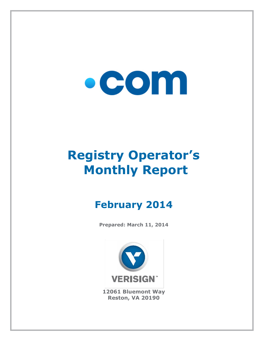# $\bullet$  COM

## **Registry Operator's Monthly Report**

### **February 2014**

**Prepared: March 11, 2014**



**12061 Bluemont Way Reston, VA 20190**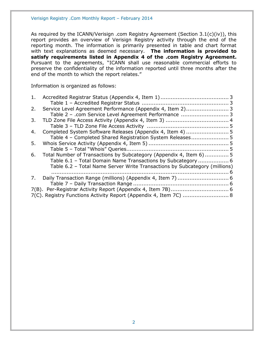As required by the ICANN/Verisign .com Registry Agreement (Section 3.1(c)(iv)), this report provides an overview of Verisign Registry activity through the end of the reporting month. The information is primarily presented in table and chart format with text explanations as deemed necessary. **The information is provided to satisfy requirements listed in Appendix 4 of the .com Registry Agreement.** Pursuant to the agreements, "ICANN shall use reasonable commercial efforts to preserve the confidentiality of the information reported until three months after the end of the month to which the report relates."

Information is organized as follows:

| 1. |                                                                            |  |
|----|----------------------------------------------------------------------------|--|
|    |                                                                            |  |
| 2. |                                                                            |  |
|    | Table 2 - .com Service Level Agreement Performance  3                      |  |
| 3. |                                                                            |  |
|    |                                                                            |  |
| 4. |                                                                            |  |
|    | Table 4 - Completed Shared Registration System Releases 5                  |  |
| 5. |                                                                            |  |
|    |                                                                            |  |
| 6. | Total Number of Transactions by Subcategory (Appendix 4, Item 6) 5         |  |
|    | Table 6.1 - Total Domain Name Transactions by Subcategory  6               |  |
|    | Table 6.2 - Total Name Server Write Transactions by Subcategory (millions) |  |
|    |                                                                            |  |
| 7. |                                                                            |  |
|    |                                                                            |  |
|    |                                                                            |  |
|    | 7(C). Registry Functions Activity Report (Appendix 4, Item 7C)  8          |  |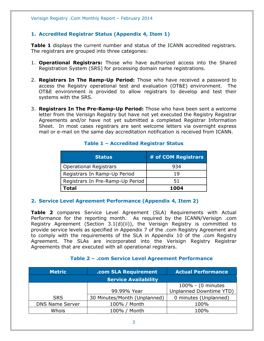#### <span id="page-2-0"></span>**1. Accredited Registrar Status (Appendix 4, Item 1)**

**Table 1** displays the current number and status of the ICANN accredited registrars. The registrars are grouped into three categories:

- 1. **Operational Registrars:** Those who have authorized access into the Shared Registration System (SRS) for processing domain name registrations.
- 2. **Registrars In The Ramp-Up Period:** Those who have received a password to access the Registry operational test and evaluation (OT&E) environment. The OT&E environment is provided to allow registrars to develop and test their systems with the SRS.
- 3. **Registrars In The Pre-Ramp-Up Period:** Those who have been sent a welcome letter from the Verisign Registry but have not yet executed the Registry Registrar Agreements and/or have not yet submitted a completed Registrar Information Sheet. In most cases registrars are sent welcome letters via overnight express mail or e-mail on the same day accreditation notification is received from ICANN.

<span id="page-2-1"></span>

| <b>Status</b>                    | # of COM Registrars |
|----------------------------------|---------------------|
| <b>Operational Registrars</b>    | 934                 |
| Registrars In Ramp-Up Period     | 19                  |
| Registrars In Pre-Ramp-Up Period | 51                  |
| Total                            | 1004                |

#### **Table 1 – Accredited Registrar Status**

#### <span id="page-2-2"></span>**2. Service Level Agreement Performance (Appendix 4, Item 2)**

**Table 2** compares Service Level Agreement (SLA) Requirements with Actual Performance for the reporting month. As required by the ICANN/Verisign .com Registry Agreement (Section 3.1(d)(ii)), the Verisign Registry is committed to provide service levels as specified in Appendix 7 of the .com Registry Agreement and to comply with the requirements of the SLA in Appendix 10 of the .com Registry Agreement. The SLAs are incorporated into the Verisign Registry Registrar Agreements that are executed with all operational registrars.

<span id="page-2-3"></span>

| <b>Metric</b>          | .com SLA Requirement         | <b>Actual Performance</b> |  |
|------------------------|------------------------------|---------------------------|--|
|                        |                              |                           |  |
|                        |                              | 100% - (0 minutes         |  |
|                        | 99.99% Year                  | Unplanned Downtime YTD)   |  |
| <b>SRS</b>             | 30 Minutes/Month (Unplanned) | 0 minutes (Unplanned)     |  |
| <b>DNS Name Server</b> | 100% / Month                 | 100%                      |  |
| Whois                  | 100% / Month                 | 100%                      |  |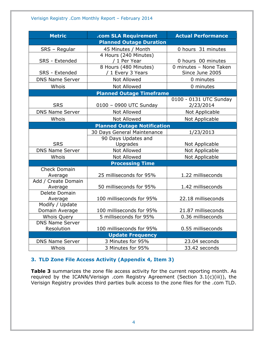| <b>Metric</b>                  | .com SLA Requirement                 | <b>Actual Performance</b> |  |  |  |
|--------------------------------|--------------------------------------|---------------------------|--|--|--|
| <b>Planned Outage Duration</b> |                                      |                           |  |  |  |
| SRS - Regular                  | 45 Minutes / Month                   | 0 hours 31 minutes        |  |  |  |
|                                | 4 Hours (240 Minutes)                |                           |  |  |  |
| SRS - Extended                 | / 1 Per Year                         | 0 hours 00 minutes        |  |  |  |
|                                | 8 Hours (480 Minutes)                | 0 minutes - None Taken    |  |  |  |
| SRS - Extended                 | / 1 Every 3 Years                    | Since June 2005           |  |  |  |
| <b>DNS Name Server</b>         | <b>Not Allowed</b>                   | 0 minutes                 |  |  |  |
| Whois                          | <b>Not Allowed</b>                   | 0 minutes                 |  |  |  |
|                                | <b>Planned Outage Timeframe</b>      |                           |  |  |  |
|                                |                                      | 0100 - 0131 UTC Sunday    |  |  |  |
| <b>SRS</b>                     | 0100 - 0900 UTC Sunday               | 2/23/2014                 |  |  |  |
| <b>DNS Name Server</b>         | <b>Not Allowed</b>                   | Not Applicable            |  |  |  |
| Whois                          | <b>Not Allowed</b>                   | Not Applicable            |  |  |  |
|                                | <b>Planned Outage Notification</b>   |                           |  |  |  |
|                                | 30 Days General Maintenance          | 1/23/2013                 |  |  |  |
|                                | 90 Days Updates and                  |                           |  |  |  |
| <b>SRS</b>                     | Upgrades                             | Not Applicable            |  |  |  |
| <b>DNS Name Server</b>         | <b>Not Allowed</b>                   | Not Applicable            |  |  |  |
| Whois                          | <b>Not Allowed</b><br>Not Applicable |                           |  |  |  |
|                                | <b>Processing Time</b>               |                           |  |  |  |
| <b>Check Domain</b>            |                                      |                           |  |  |  |
| Average                        | 25 milliseconds for 95%              | 1.22 milliseconds         |  |  |  |
| Add / Create Domain            |                                      |                           |  |  |  |
| Average                        | 50 milliseconds for 95%              | 1.42 milliseconds         |  |  |  |
| Delete Domain                  |                                      |                           |  |  |  |
| Average<br>Modify / Update     | 100 milliseconds for 95%             | 22.18 milliseconds        |  |  |  |
| Domain Average                 | 100 milliseconds for 95%             | 21.87 milliseconds        |  |  |  |
| Whois Query                    | 5 milliseconds for 95%               | 0.36 milliseconds         |  |  |  |
| <b>DNS Name Server</b>         |                                      |                           |  |  |  |
| Resolution                     | 100 milliseconds for 95%             | 0.55 milliseconds         |  |  |  |
|                                | <b>Update Frequency</b>              |                           |  |  |  |
| <b>DNS Name Server</b>         | 3 Minutes for 95%                    | 23.04 seconds             |  |  |  |
| Whois                          | 3 Minutes for 95%                    | 33.42 seconds             |  |  |  |

#### <span id="page-3-0"></span>**3. TLD Zone File Access Activity (Appendix 4, Item 3)**

**Table 3** summarizes the zone file access activity for the current reporting month. As required by the ICANN/Verisign .com Registry Agreement (Section 3.1(c)(iii)), the Verisign Registry provides third parties bulk access to the zone files for the .com TLD.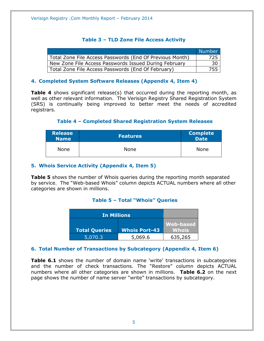#### **Table 3 – TLD Zone File Access Activity**

<span id="page-4-0"></span>

|                                                          | <b>Number</b> |
|----------------------------------------------------------|---------------|
| Total Zone File Access Passwords (End Of Previous Month) | -725          |
| New Zone File Access Passwords Issued During February    | -30           |
| Total Zone File Access Passwords (End Of February)       | 755           |

#### <span id="page-4-1"></span>**4. Completed System Software Releases (Appendix 4, Item 4)**

**Table 4** shows significant release(s) that occurred during the reporting month, as well as other relevant information. The Verisign Registry Shared Registration System (SRS) is continually being improved to better meet the needs of accredited registrars.

#### **Table 4 – Completed Shared Registration System Releases**

<span id="page-4-2"></span>

| <b>Release</b><br><b>Name</b> | <b>Features</b> | <b>Complete</b><br>Date |
|-------------------------------|-----------------|-------------------------|
| None                          | None            | <b>None</b>             |

#### <span id="page-4-3"></span>**5. Whois Service Activity (Appendix 4, Item 5)**

<span id="page-4-4"></span>**Table 5** shows the number of Whois queries during the reporting month separated by service. The "Web-based Whois" column depicts ACTUAL numbers where all other categories are shown in millions.

#### **Table 5 – Total "Whois" Queries**

| <b>In Millions</b>   |                      |                           |
|----------------------|----------------------|---------------------------|
| <b>Total Queries</b> | <b>Whois Port-43</b> | Web-based<br><b>Whois</b> |
| 5,070.3              | 5,069.6              | 635,265                   |

#### <span id="page-4-5"></span>**6. Total Number of Transactions by Subcategory (Appendix 4, Item 6)**

**Table 6.1** shows the number of domain name 'write' transactions in subcategories and the number of check transactions. The "Restore" column depicts ACTUAL numbers where all other categories are shown in millions. **Table 6.2** on the next page shows the number of name server "write" transactions by subcategory.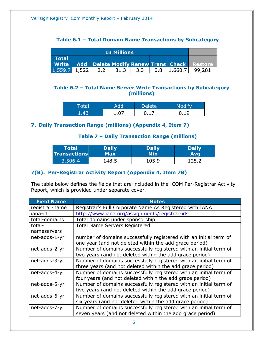#### **Table 6.1 – Total Domain Name Transactions by Subcategory**

<span id="page-5-0"></span>

| <b>In Millions</b> |  |     |      |     |                 |                                                          |
|--------------------|--|-----|------|-----|-----------------|----------------------------------------------------------|
| <b>Total</b>       |  |     |      |     |                 |                                                          |
|                    |  |     |      |     |                 | <b>Write Add Delete Modify Renew Trans Check Restore</b> |
| $1,559.7$ 1,522    |  | 2.2 | 31.3 | 3.3 | $0.8$   1,660.7 | 99.281                                                   |

#### <span id="page-5-1"></span>**Table 6.2 – Total Name Server Write Transactions by Subcategory (millions)**

| <b>"otal</b> | Add          | Delete | $M \cap$ dify |
|--------------|--------------|--------|---------------|
| $\Delta$ 3   | .ስ7<br>. v / |        |               |

#### <span id="page-5-3"></span><span id="page-5-2"></span>**7. Daily Transaction Range (millions) (Appendix 4, Item 7)**

#### **Table 7 – Daily Transaction Range (millions)**

| <b>Total</b>        | <b>Daily</b> | <b>Daily</b> | <b>Daily</b> |
|---------------------|--------------|--------------|--------------|
| <b>Transactions</b> | Max          | Min          | <b>Avg</b>   |
| 3,506.4             | .48.5        | 105.9        | .25.2        |

#### <span id="page-5-4"></span>**7(B). Per-Registrar Activity Report (Appendix 4, Item 7B)**

The table below defines the fields that are included in the .COM Per-Registrar Activity Report, which is provided under separate cover.

| <b>Field Name</b> | <b>Notes</b>                                                      |
|-------------------|-------------------------------------------------------------------|
| registrar-name    | Registrar's Full Corporate Name As Registered with IANA           |
| iana-id           | http://www.iana.org/assignments/registrar-ids                     |
| total-domains     | Total domains under sponsorship                                   |
| total-            | <b>Total Name Servers Registered</b>                              |
| nameservers       |                                                                   |
| net-adds-1-yr     | number of domains successfully registered with an initial term of |
|                   | one year (and not deleted within the add grace period)            |
| net-adds-2-yr     | Number of domains successfully registered with an initial term of |
|                   | two years (and not deleted within the add grace period)           |
| net-adds-3-yr     | Number of domains successfully registered with an initial term of |
|                   | three years (and not deleted within the add grace period)         |
| net-adds-4-yr     | Number of domains successfully registered with an initial term of |
|                   | four years (and not deleted within the add grace period)          |
| net-adds-5-yr     | Number of domains successfully registered with an initial term of |
|                   | five years (and not deleted within the add grace period)          |
| net-adds-6-yr     | Number of domains successfully registered with an initial term of |
|                   | six years (and not deleted within the add grace period)           |
| net-adds-7-yr     | Number of domains successfully registered with an initial term of |
|                   | seven years (and not deleted within the add grace period)         |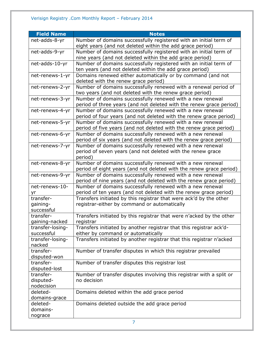| <b>Field Name</b> | <b>Notes</b>                                                           |
|-------------------|------------------------------------------------------------------------|
| net-adds-8-yr     | Number of domains successfully registered with an initial term of      |
|                   | eight years (and not deleted within the add grace period)              |
| net-adds-9-yr     | Number of domains successfully registered with an initial term of      |
|                   | nine years (and not deleted within the add grace period)               |
| net-adds-10-yr    | Number of domains successfully registered with an initial term of      |
|                   | ten years (and not deleted within the add grace period)                |
| net-renews-1-yr   | Domains renewed either automatically or by command (and not            |
|                   | deleted with the renew grace period)                                   |
| net-renews-2-yr   | Number of domains successfully renewed with a renewal period of        |
|                   | two years (and not deleted with the renew grace period)                |
| net-renews-3-yr   | Number of domains successfully renewed with a new renewal              |
|                   | period of three years (and not deleted with the renew grace period)    |
| net-renews-4-yr   | Number of domains successfully renewed with a new renewal              |
|                   | period of four years (and not deleted with the renew grace period)     |
| net-renews-5-yr   | Number of domains successfully renewed with a new renewal              |
|                   | period of five years (and not deleted with the renew grace period)     |
| net-renews-6-yr   | Number of domains successfully renewed with a new renewal              |
|                   | period of six years (and not deleted with the renew grace period)      |
| net-renews-7-yr   | Number of domains successfully renewed with a new renewal              |
|                   | period of seven years (and not deleted with the renew grace<br>period) |
| net-renews-8-yr   | Number of domains successfully renewed with a new renewal              |
|                   | period of eight years (and not deleted with the renew grace period)    |
| net-renews-9-yr   | Number of domains successfully renewed with a new renewal              |
|                   | period of nine years (and not deleted with the renew grace period)     |
| net-renews-10-    | Number of domains successfully renewed with a new renewal              |
| yr                | period of ten years (and not deleted with the renew grace period)      |
| transfer-         | Transfers initiated by this registrar that were ack'd by the other     |
| gaining-          | registrar-either by command or automatically                           |
| successful        |                                                                        |
| transfer-         | Transfers initiated by this registrar that were n'acked by the other   |
| gaining-nacked    | registrar                                                              |
| transfer-losing-  | Transfers initiated by another registrar that this registrar ack'd-    |
| successful        | either by command or automatically                                     |
| transfer-losing-  | Transfers initiated by another registrar that this registrar n'acked   |
| nacked            |                                                                        |
| transfer-         | Number of transfer disputes in which this registrar prevailed          |
| disputed-won      |                                                                        |
| transfer-         | Number of transfer disputes this registrar lost                        |
| disputed-lost     |                                                                        |
| transfer-         | Number of transfer disputes involving this registrar with a split or   |
| disputed-         | no decision                                                            |
| nodecision        |                                                                        |
| deleted-          | Domains deleted within the add grace period                            |
| domains-grace     |                                                                        |
| deleted-          | Domains deleted outside the add grace period                           |
| domains-          |                                                                        |
| nograce           |                                                                        |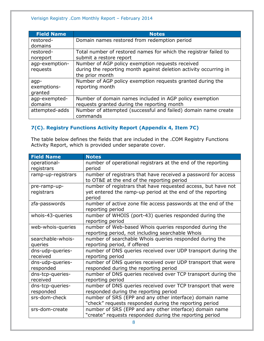| <b>Field Name</b> | <b>Notes</b>                                                      |
|-------------------|-------------------------------------------------------------------|
| restored-         | Domain names restored from redemption period                      |
| domains           |                                                                   |
| restored-         | Total number of restored names for which the registrar failed to  |
| noreport          | submit a restore report                                           |
| agp-exemption-    | Number of AGP policy exemption requests received                  |
| requests          | during the reporting month against deletion activity occurring in |
|                   | the prior month                                                   |
| agp-              | Number of AGP policy exemption requests granted during the        |
| exemptions-       | reporting month                                                   |
| granted           |                                                                   |
| agp-exempted-     | Number of domain names included in AGP policy exemption           |
| domains           | requests granted during the reporting month                       |
| attempted-adds    | Number of attempted (successful and failed) domain name create    |
|                   | commands                                                          |

#### <span id="page-7-0"></span>**7(C). Registry Functions Activity Report (Appendix 4, Item 7C)**

The table below defines the fields that are included in the .COM Registry Functions Activity Report, which is provided under separate cover.

| <b>Field Name</b>            | <b>Notes</b>                                                                                                |
|------------------------------|-------------------------------------------------------------------------------------------------------------|
| operational-                 | number of operational registrars at the end of the reporting                                                |
| registrars                   | period                                                                                                      |
| ramp-up-registrars           | number of registrars that have received a password for access<br>to OT&E at the end of the reporting period |
| pre-ramp-up-                 | number of registrars that have requested access, but have not                                               |
| registrars                   | yet entered the ramp-up period at the end of the reporting<br>period                                        |
| zfa-passwords                | number of active zone file access passwords at the end of the<br>reporting period                           |
| whois-43-queries             | number of WHOIS (port-43) queries responded during the<br>reporting period                                  |
| web-whois-queries            | number of Web-based Whois queries responded during the                                                      |
|                              | reporting period, not including searchable Whois                                                            |
| searchable-whois-            | number of searchable Whois queries responded during the                                                     |
| queries                      | reporting period, if offered                                                                                |
| dns-udp-queries-<br>received | number of DNS queries received over UDP transport during the<br>reporting period                            |
| dns-udp-queries-             | number of DNS queries received over UDP transport that were                                                 |
| responded                    | responded during the reporting period                                                                       |
| dns-tcp-queries-             | number of DNS queries received over TCP transport during the                                                |
| received                     | reporting period                                                                                            |
| dns-tcp-queries-             | number of DNS queries received over TCP transport that were                                                 |
| responded                    | responded during the reporting period                                                                       |
| srs-dom-check                | number of SRS (EPP and any other interface) domain name                                                     |
|                              | "check" requests responded during the reporting period                                                      |
| srs-dom-create               | number of SRS (EPP and any other interface) domain name                                                     |
|                              | "create" requests responded during the reporting period                                                     |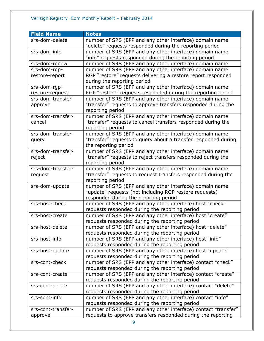| <b>Field Name</b>  | <b>Notes</b>                                                                                                |
|--------------------|-------------------------------------------------------------------------------------------------------------|
| srs-dom-delete     | number of SRS (EPP and any other interface) domain name                                                     |
|                    | "delete" requests responded during the reporting period                                                     |
| srs-dom-info       | number of SRS (EPP and any other interface) domain name                                                     |
|                    | "info" requests responded during the reporting period                                                       |
| srs-dom-renew      | number of SRS (EPP and any other interface) domain name                                                     |
| srs-dom-rgp-       | number of SRS (EPP and any other interface) domain name                                                     |
| restore-report     | RGP "restore" requests delivering a restore report responded                                                |
|                    | during the reporting period                                                                                 |
| srs-dom-rgp-       | number of SRS (EPP and any other interface) domain name                                                     |
| restore-request    | RGP "restore" requests responded during the reporting period                                                |
| srs-dom-transfer-  | number of SRS (EPP and any other interface) domain name                                                     |
| approve            | "transfer" requests to approve transfers responded during the                                               |
|                    | reporting period                                                                                            |
| srs-dom-transfer-  | number of SRS (EPP and any other interface) domain name                                                     |
| cancel             | "transfer" requests to cancel transfers responded during the                                                |
|                    | reporting period                                                                                            |
| srs-dom-transfer-  | number of SRS (EPP and any other interface) domain name                                                     |
| query              | "transfer" requests to query about a transfer responded during                                              |
|                    | the reporting period                                                                                        |
| srs-dom-transfer-  | number of SRS (EPP and any other interface) domain name                                                     |
| reject             | "transfer" requests to reject transfers responded during the                                                |
|                    | reporting period                                                                                            |
| srs-dom-transfer-  | number of SRS (EPP and any other interface) domain name                                                     |
| request            | "transfer" requests to request transfers responded during the                                               |
|                    | reporting period                                                                                            |
| srs-dom-update     | number of SRS (EPP and any other interface) domain name                                                     |
|                    | "update" requests (not including RGP restore requests)                                                      |
|                    | responded during the reporting period                                                                       |
| srs-host-check     | number of SRS (EPP and any other interface) host "check"                                                    |
|                    | requests responded during the reporting period                                                              |
| srs-host-create    | number of SRS (EPP and any other interface) host "create"                                                   |
|                    | requests responded during the reporting period                                                              |
| srs-host-delete    | number of SRS (EPP and any other interface) host "delete"<br>requests responded during the reporting period |
| srs-host-info      | number of SRS (EPP and any other interface) host "info"                                                     |
|                    | requests responded during the reporting period                                                              |
| srs-host-update    | number of SRS (EPP and any other interface) host "update"                                                   |
|                    | requests responded during the reporting period                                                              |
| srs-cont-check     | number of SRS (EPP and any other interface) contact "check"                                                 |
|                    | requests responded during the reporting period                                                              |
| srs-cont-create    | number of SRS (EPP and any other interface) contact "create"                                                |
|                    | requests responded during the reporting period                                                              |
| srs-cont-delete    | number of SRS (EPP and any other interface) contact "delete"                                                |
|                    | requests responded during the reporting period                                                              |
| srs-cont-info      | number of SRS (EPP and any other interface) contact "info"                                                  |
|                    | requests responded during the reporting period                                                              |
| srs-cont-transfer- | number of SRS (EPP and any other interface) contact "transfer"                                              |
| approve            | requests to approve transfers responded during the reporting                                                |
|                    |                                                                                                             |